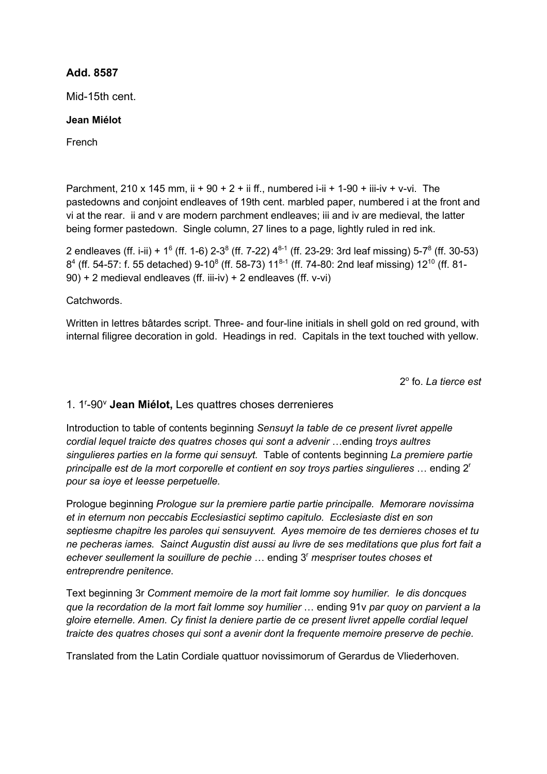## **Add. 8587**

Mid-15th cent.

## **Jean Miélot**

French

Parchment, 210 x 145 mm, ii + 90 + 2 + ii ff., numbered i-ii + 1-90 + iii-iv + v-vi. The pastedowns and conjoint endleaves of 19th cent. marbled paper, numbered i at the front and vi at the rear. ii and v are modern parchment endleaves; iii and iv are medieval, the latter being former pastedown. Single column, 27 lines to a page, lightly ruled in red ink.

2 endleaves (ff. i-ii) +  $1^6$  (ff. 1-6) 2-3<sup>8</sup> (ff. 7-22)  $4^{8-1}$  (ff. 23-29: 3rd leaf missing) 5-7<sup>8</sup> (ff. 30-53) 8<sup>4</sup> (ff. 54-57: f. 55 detached) 9-10<sup>8</sup> (ff. 58-73) 11<sup>8-1</sup> (ff. 74-80: 2nd leaf missing) 12<sup>10</sup> (ff. 81-90) + 2 medieval endleaves (ff. iii-iv) + 2 endleaves (ff. v-vi)

**Catchwords** 

Written in lettres bâtardes script. Three- and four-line initials in shell gold on red ground, with internal filigree decoration in gold. Headings in red. Capitals in the text touched with yellow.

2o fo. *La tierce est*

## 1. 1r -90v **Jean Miélot,** Les quattres choses derrenieres

Introduction to table of contents beginning *Sensuyt la table de ce present livret appelle cordial lequel traicte des quatres choses qui sont a advenir* …ending *troys aultres singulieres parties en la forme qui sensuyt.* Table of contents beginning *La premiere partie principalle est de la mort corporelle et contient en soy troys parties singulieres* … ending 2r *pour sa ioye et leesse perpetuelle.* 

Prologue beginning *Prologue sur la premiere partie partie principalle. Memorare novissima et in eternum non peccabis Ecclesiastici septimo capitulo. Ecclesiaste dist en son septiesme chapitre les paroles qui sensuyvent. Ayes memoire de tes dernieres choses et tu ne pecheras iames. Sainct Augustin dist aussi au livre de ses meditations que plus fort fait a echever seullement la souillure de pechie* … ending 3r *mespriser toutes choses et entreprendre penitence*.

Text beginning 3r *Comment memoire de la mort fait lomme soy humilier. Ie dis doncques que la recordation de la mort fait lomme soy humilier* … ending 91v *par quoy on parvient a la gloire eternelle. Amen. Cy finist la deniere partie de ce present livret appelle cordial lequel traicte des quatres choses qui sont a avenir dont la frequente memoire preserve de pechie.*

Translated from the Latin Cordiale quattuor novissimorum of Gerardus de Vliederhoven.